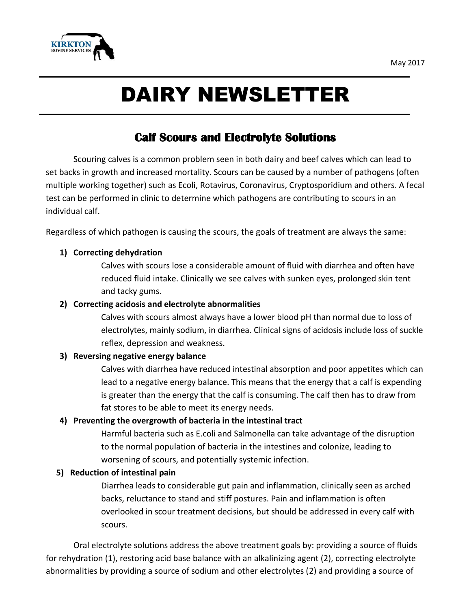

# DAIRY NEWSLETTER

## **Calf Scours and Electrolyte Solutions**

Scouring calves is a common problem seen in both dairy and beef calves which can lead to set backs in growth and increased mortality. Scours can be caused by a number of pathogens (often multiple working together) such as Ecoli, Rotavirus, Coronavirus, Cryptosporidium and others. A fecal test can be performed in clinic to determine which pathogens are contributing to scours in an individual calf.

Regardless of which pathogen is causing the scours, the goals of treatment are always the same:

#### **1) Correcting dehydration**

Calves with scours lose a considerable amount of fluid with diarrhea and often have reduced fluid intake. Clinically we see calves with sunken eyes, prolonged skin tent and tacky gums.

#### **2) Correcting acidosis and electrolyte abnormalities**

Calves with scours almost always have a lower blood pH than normal due to loss of electrolytes, mainly sodium, in diarrhea. Clinical signs of acidosis include loss of suckle reflex, depression and weakness.

#### **3) Reversing negative energy balance**

Calves with diarrhea have reduced intestinal absorption and poor appetites which can lead to a negative energy balance. This means that the energy that a calf is expending is greater than the energy that the calf is consuming. The calf then has to draw from fat stores to be able to meet its energy needs.

#### **4) Preventing the overgrowth of bacteria in the intestinal tract**

Harmful bacteria such as E.coli and Salmonella can take advantage of the disruption to the normal population of bacteria in the intestines and colonize, leading to worsening of scours, and potentially systemic infection.

#### **5) Reduction of intestinal pain**

Diarrhea leads to considerable gut pain and inflammation, clinically seen as arched backs, reluctance to stand and stiff postures. Pain and inflammation is often overlooked in scour treatment decisions, but should be addressed in every calf with scours.

Oral electrolyte solutions address the above treatment goals by: providing a source of fluids for rehydration (1), restoring acid base balance with an alkalinizing agent (2), correcting electrolyte abnormalities by providing a source of sodium and other electrolytes (2) and providing a source of